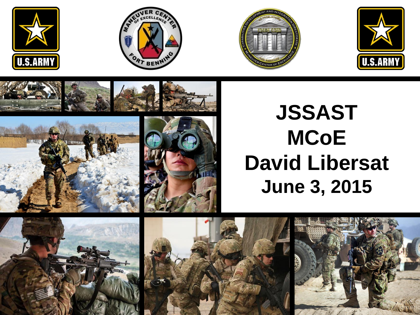















## **JSSAST MCoE David Libersat June 3, 2015**





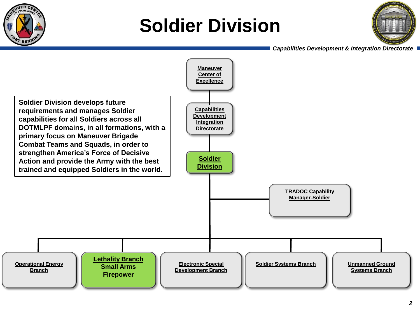

## **Soldier Division**



 *Capabilities Development & Integration Directorate*

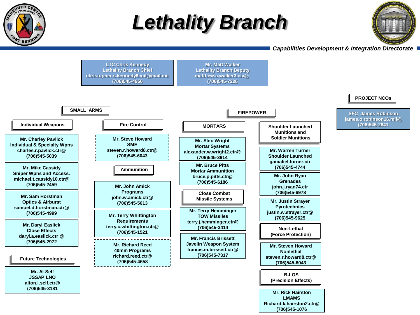

## *Lethality Branch*



#### *Capabilities Development & Integration Directorate*

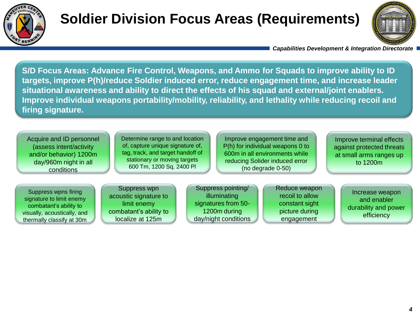

### **Soldier Division Focus Areas (Requirements)**



 *Capabilities Development & Integration Directorate*

**S/D Focus Areas: Advance Fire Control, Weapons, and Ammo for Squads to improve ability to ID targets, improve P(h)/reduce Soldier induced error, reduce engagement time, and increase leader situational awareness and ability to direct the effects of his squad and external/joint enablers. Improve individual weapons portability/mobility, reliability, and lethality while reducing recoil and firing signature.** 

Acquire and ID personnel (assess intent/activity and/or behavior) 1200m day/960m night in all conditions

Determine range to and location of, capture unique signature of, tag, track, and target handoff of stationary or moving targets 600 Tm, 1200 Sq, 2400 Pl

Improve engagement time and P(h) for individual weapons 0 to 600m in all environments while reducing Solider induced error (no degrade 0-50)

Improve terminal effects against protected threats at small arms ranges up to 1200m

Suppress wpns firing signature to limit enemy combatant's ability to visually, acoustically, and thermally classify at 30m

Suppress wpn acoustic signature to limit enemy combatant's ability to localize at 125m

Suppress pointing/ illuminating signatures from 50- 1200m during day/night conditions Reduce weapon recoil to allow constant sight picture during engagement

Increase weapon and enabler durability and power efficiency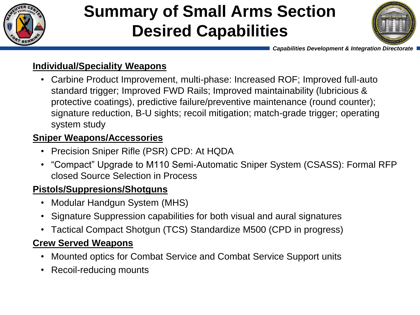

## **Summary of Small Arms Section Desired Capabilities**



 *Capabilities Development & Integration Directorate*

#### **Individual/Speciality Weapons**

• Carbine Product Improvement, multi-phase: Increased ROF; Improved full-auto standard trigger; Improved FWD Rails; Improved maintainability (lubricious & protective coatings), predictive failure/preventive maintenance (round counter); signature reduction, B-U sights; recoil mitigation; match-grade trigger; operating system study

#### **Sniper Weapons/Accessories**

- Precision Sniper Rifle (PSR) CPD: At HQDA
- "Compact" Upgrade to M110 Semi-Automatic Sniper System (CSASS): Formal RFP closed Source Selection in Process

#### **Pistols/Suppresions/Shotguns**

- Modular Handgun System (MHS)
- Signature Suppression capabilities for both visual and aural signatures
- Tactical Compact Shotgun (TCS) Standardize M500 (CPD in progress)

#### **Crew Served Weapons**

- Mounted optics for Combat Service and Combat Service Support units
- Recoil-reducing mounts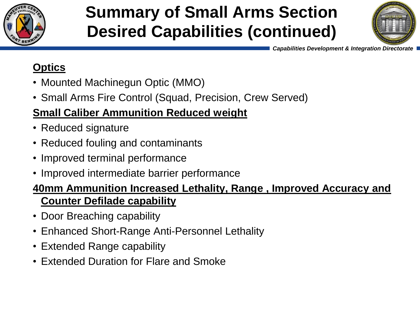

## **Summary of Small Arms Section Desired Capabilities (continued)**



 *Capabilities Development & Integration Directorate*

#### **Optics**

- Mounted Machinegun Optic (MMO)
- Small Arms Fire Control (Squad, Precision, Crew Served)

### **Small Caliber Ammunition Reduced weight**

- Reduced signature
- Reduced fouling and contaminants
- Improved terminal performance
- Improved intermediate barrier performance

#### **40mm Ammunition Increased Lethality, Range , Improved Accuracy and Counter Defilade capability**

- Door Breaching capability
- Enhanced Short-Range Anti-Personnel Lethality
- Extended Range capability
- Extended Duration for Flare and Smoke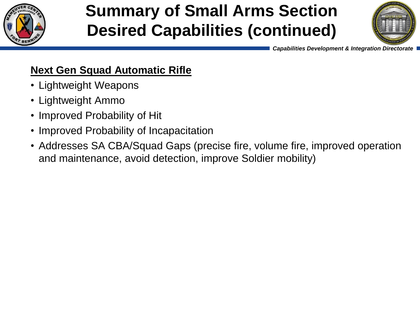

### **Summary of Small Arms Section Desired Capabilities (continued)**



 *Capabilities Development & Integration Directorate*

#### **Next Gen Squad Automatic Rifle**

- Lightweight Weapons
- Lightweight Ammo
- Improved Probability of Hit
- Improved Probability of Incapacitation
- Addresses SA CBA/Squad Gaps (precise fire, volume fire, improved operation and maintenance, avoid detection, improve Soldier mobility)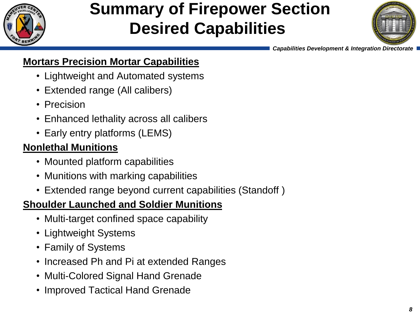

### **Summary of Firepower Section Desired Capabilities**



 *Capabilities Development & Integration Directorate*

#### **Mortars Precision Mortar Capabilities**

- Lightweight and Automated systems
- Extended range (All calibers)
- Precision
- Enhanced lethality across all calibers
- Early entry platforms (LEMS)

#### **Nonlethal Munitions**

- Mounted platform capabilities
- Munitions with marking capabilities
- Extended range beyond current capabilities (Standoff )

#### **Shoulder Launched and Soldier Munitions**

- Multi-target confined space capability
- Lightweight Systems
- Family of Systems
- Increased Ph and Pi at extended Ranges
- Multi-Colored Signal Hand Grenade
- Improved Tactical Hand Grenade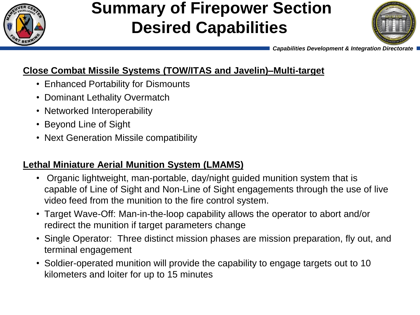

### **Summary of Firepower Section Desired Capabilities**



 *Capabilities Development & Integration Directorate*

#### **Close Combat Missile Systems (TOW/ITAS and Javelin)–Multi-target**

- Enhanced Portability for Dismounts
- Dominant Lethality Overmatch
- Networked Interoperability
- Beyond Line of Sight
- Next Generation Missile compatibility

#### **Lethal Miniature Aerial Munition System (LMAMS)**

- Organic lightweight, man-portable, day/night guided munition system that is capable of Line of Sight and Non-Line of Sight engagements through the use of live video feed from the munition to the fire control system.
- Target Wave-Off: Man-in-the-loop capability allows the operator to abort and/or redirect the munition if target parameters change
- Single Operator: Three distinct mission phases are mission preparation, fly out, and terminal engagement
- Soldier-operated munition will provide the capability to engage targets out to 10 kilometers and loiter for up to 15 minutes